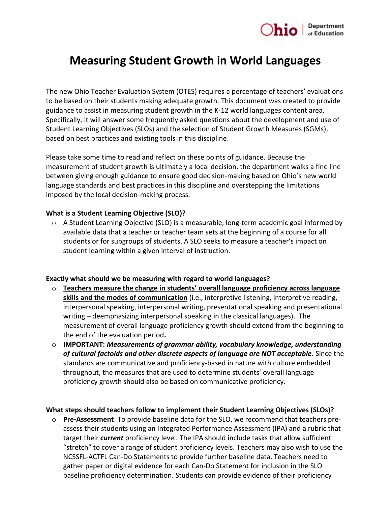

# **Measuring Student Growth in World Languages**

The new Ohio Teacher Evaluation System (OTES) requires a percentage of teachers' evaluations to be based on their students making adequate growth. This document was created to provide guidance to assist in measuring student growth in the K-12 world languages content area. Specifically, it will answer some frequently asked questions about the development and use of Student Learning Objectives (SLOs) and the selection of Student Growth Measures (SGMs), based on best practices and existing tools in this discipline.

Please take some time to read and reflect on these points of guidance. Because the measurement of student growth is ultimately a local decision, the department walks a fine line between giving enough guidance to ensure good decision-making based on Ohio's new world language standards and best practices in this discipline and overstepping the limitations imposed by the local decision-making process.

#### **What is a Student Learning Objective (SLO)?**

 $\circ$  A Student Learning Objective (SLO) is a measurable, long-term academic goal informed by available data that a teacher or teacher team sets at the beginning of a course for all students or for subgroups of students. A SLO seeks to measure a teacher's impact on student learning within a given interval of instruction.

## **Exactly what should we be measuring with regard to world languages?**

- o **Teachers measure the change in students' overall language proficiency across language skills and the modes of communication** (i.e., interpretive listening, interpretive reading, interpersonal speaking, interpersonal writing, presentational speaking and presentational writing – deemphasizing interpersonal speaking in the classical languages). The measurement of overall language proficiency growth should extend from the beginning to the end of the evaluation period**.**
- o **IMPORTANT:** *Measurements of grammar ability, vocabulary knowledge, understanding of cultural factoids and other discrete aspects of language are NOT acceptable.* Since the standards are communicative and proficiency-based in nature with culture embedded throughout, the measures that are used to determine students' overall language proficiency growth should also be based on communicative proficiency.

#### **What steps should teachers follow to implement their Student Learning Objectives (SLOs)?**

o **Pre-Assessment**: To provide baseline data for the SLO, we recommend that teachers preassess their students using an Integrated Performance Assessment (IPA) and a rubric that target their *current* proficiency level. The IPA should include tasks that allow sufficient "stretch" to cover a range of student proficiency levels. Teachers may also wish to use the NCSSFL-ACTFL Can-Do Statements to provide further baseline data. Teachers need to gather paper or digital evidence for each Can-Do Statement for inclusion in the SLO baseline proficiency determination. Students can provide evidence of their proficiency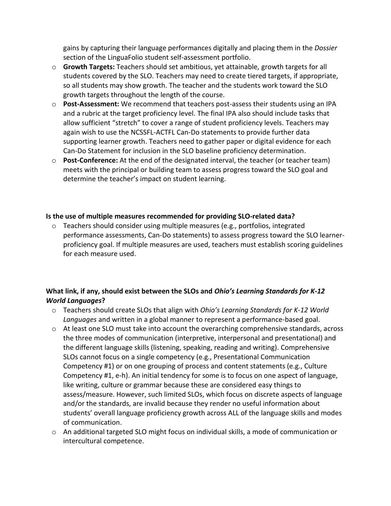gains by capturing their language performances digitally and placing them in the *Dossier* section of the LinguaFolio student self-assessment portfolio.

- o **Growth Targets:** Teachers should set ambitious, yet attainable, growth targets for all students covered by the SLO. Teachers may need to create tiered targets, if appropriate, so all students may show growth. The teacher and the students work toward the SLO growth targets throughout the length of the course.
- o **Post-Assessment:** We recommend that teachers post-assess their students using an IPA and a rubric at the target proficiency level. The final IPA also should include tasks that allow sufficient "stretch" to cover a range of student proficiency levels. Teachers may again wish to use the NCSSFL-ACTFL Can-Do statements to provide further data supporting learner growth. Teachers need to gather paper or digital evidence for each Can-Do Statement for inclusion in the SLO baseline proficiency determination.
- o **Post-Conference:** At the end of the designated interval, the teacher (or teacher team) meets with the principal or building team to assess progress toward the SLO goal and determine the teacher's impact on student learning.

## **Is the use of multiple measures recommended for providing SLO-related data?**

 $\circ$  Teachers should consider using multiple measures (e.g., portfolios, integrated performance assessments, Can-Do statements) to assess progress toward the SLO learnerproficiency goal. If multiple measures are used, teachers must establish scoring guidelines for each measure used.

# **What link, if any, should exist between the SLOs and** *Ohio's Learning Standards for K-12 World Languages***?**

- o Teachers should create SLOs that align with *Ohio's Learning Standards for K-12 World Languages* and written in a global manner to represent a performance-based goal.
- $\circ$  At least one SLO must take into account the overarching comprehensive standards, across the three modes of communication (interpretive, interpersonal and presentational) and the different language skills (listening, speaking, reading and writing). Comprehensive SLOs cannot focus on a single competency (e.g., Presentational Communication Competency #1) or on one grouping of process and content statements (e.g., Culture Competency #1, e-h). An initial tendency for some is to focus on one aspect of language, like writing, culture or grammar because these are considered easy things to assess/measure. However, such limited SLOs, which focus on discrete aspects of language and/or the standards, are invalid because they render no useful information about students' overall language proficiency growth across ALL of the language skills and modes of communication.
- o An additional targeted SLO might focus on individual skills, a mode of communication or intercultural competence.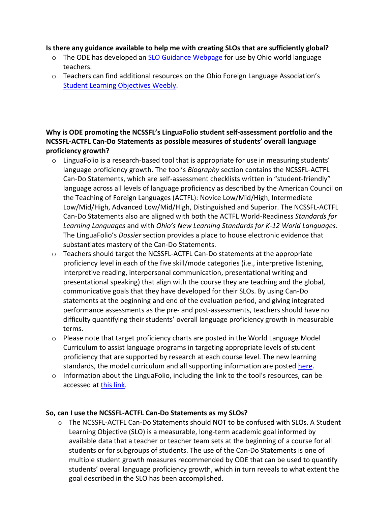## **Is there any guidance available to help me with creating SLOs that are sufficiently global?**

- $\circ$  The ODE has developed an [SLO Guidance Webpage](http://education.ohio.gov/Topics/Ohio-s-New-Learning-Standards/Foreign-Language/SLO-Guidance-for-World-Language-Educators) for use by Ohio world language teachers.
- $\circ$  Teachers can find additional resources on the Ohio Foreign Language Association's [Student Learning Objectives](http://oflaslo.weebly.com/index.html) Weebly.

# **Why is ODE promoting the NCSSFL's LinguaFolio student self-assessment portfolio and the NCSSFL-ACTFL Can-Do Statements as possible measures of students' overall language proficiency growth?**

- $\circ$  LinguaFolio is a research-based tool that is appropriate for use in measuring students' language proficiency growth. The tool's *Biography* section contains the NCSSFL-ACTFL Can-Do Statements, which are self-assessment checklists written in "student-friendly" language across all levels of language proficiency as described by the American Council on the Teaching of Foreign Languages (ACTFL): Novice Low/Mid/High, Intermediate Low/Mid/High, Advanced Low/Mid/High, Distinguished and Superior. The NCSSFL-ACTFL Can-Do Statements also are aligned with both the ACTFL World-Readiness *Standards for Learning Languages* and with *Ohio's New Learning Standards for K-12 World Languages*. The LinguaFolio's *Dossier* section provides a place to house electronic evidence that substantiates mastery of the Can-Do Statements.
- $\circ$  Teachers should target the NCSSFL-ACTFL Can-Do statements at the appropriate proficiency level in each of the five skill/mode categories (i.e., interpretive listening, interpretive reading, interpersonal communication, presentational writing and presentational speaking) that align with the course they are teaching and the global, communicative goals that they have developed for their SLOs. By using Can-Do statements at the beginning and end of the evaluation period, and giving integrated performance assessments as the pre- and post-assessments, teachers should have no difficulty quantifying their students' overall language proficiency growth in measurable terms.
- $\circ$  Please note that target proficiency charts are posted in the World Language Model Curriculum to assist language programs in targeting appropriate levels of student proficiency that are supported by research at each course level. The new learning standards, the model curriculum and all supporting information are posted [here.](http://education.ohio.gov/Topics/Ohio-s-New-Learning-Standards/Foreign-Language)
- o Information about the LinguaFolio, including the link to the tool's resources, can be accessed a[t this link.](http://www.ncssfl.org/LinguaFolio/index.php?linguafolio_index)

# **So, can I use the NCSSFL-ACTFL Can-Do Statements as my SLOs?**

 $\circ$  The NCSSFL-ACTFL Can-Do Statements should NOT to be confused with SLOs. A Student Learning Objective (SLO) is a measurable, long-term academic goal informed by available data that a teacher or teacher team sets at the beginning of a course for all students or for subgroups of students. The use of the Can-Do Statements is one of multiple student growth measures recommended by ODE that can be used to quantify students' overall language proficiency growth, which in turn reveals to what extent the goal described in the SLO has been accomplished.